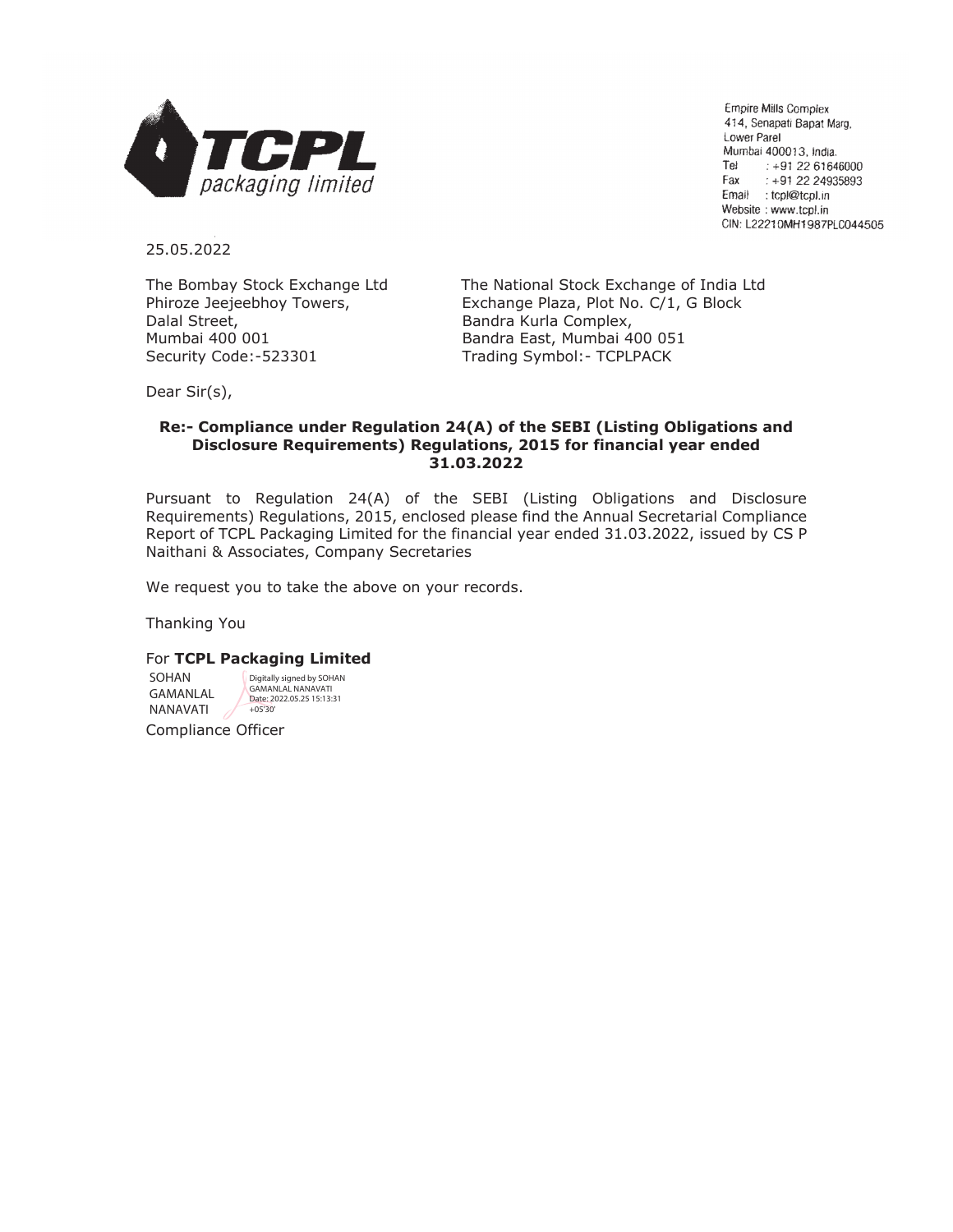

**Empire Mills Complex** 414, Senapati Bapat Marg, Lower Parel Mumbai 400013, India. Tel +91 22 61646000 Fax  $: +912224935893$ Email : tcpl@tcpl.in Website: www.tcpl.in CIN: L22210MH1987PLC044505

25.05.2022

Dalal Street, **Bandra Kurla Complex**, Mumbai 400 001 Bandra East, Mumbai 400 051 Security Code:-523301 Trading Symbol:- TCPLPACK

The Bombay Stock Exchange Ltd The National Stock Exchange of India Ltd Phiroze Jeejeebhoy Towers, Exchange Plaza, Plot No. C/1, G Block

Dear Sir(s),

## **Re:- Compliance under Regulation 24(A) of the SEBI (Listing Obligations and Disclosure Requirements) Regulations, 2015 for financial year ended 31.03.2022**

Pursuant to Regulation 24(A) of the SEBI (Listing Obligations and Disclosure Requirements) Regulations, 2015, enclosed please find the Annual Secretarial Compliance Report of TCPL Packaging Limited for the financial year ended 31.03.2022, issued by CS P Naithani & Associates, Company Secretaries

We request you to take the above on your records.

Thanking You

## For **TCPL Packaging Limited**

SOHAN GAMANLAL NANAVATI

Digitally signed by SOHAN GAMANLAL NANAVATI Date: 2022.05.25 15:13:31 +05'30'

Compliance Officer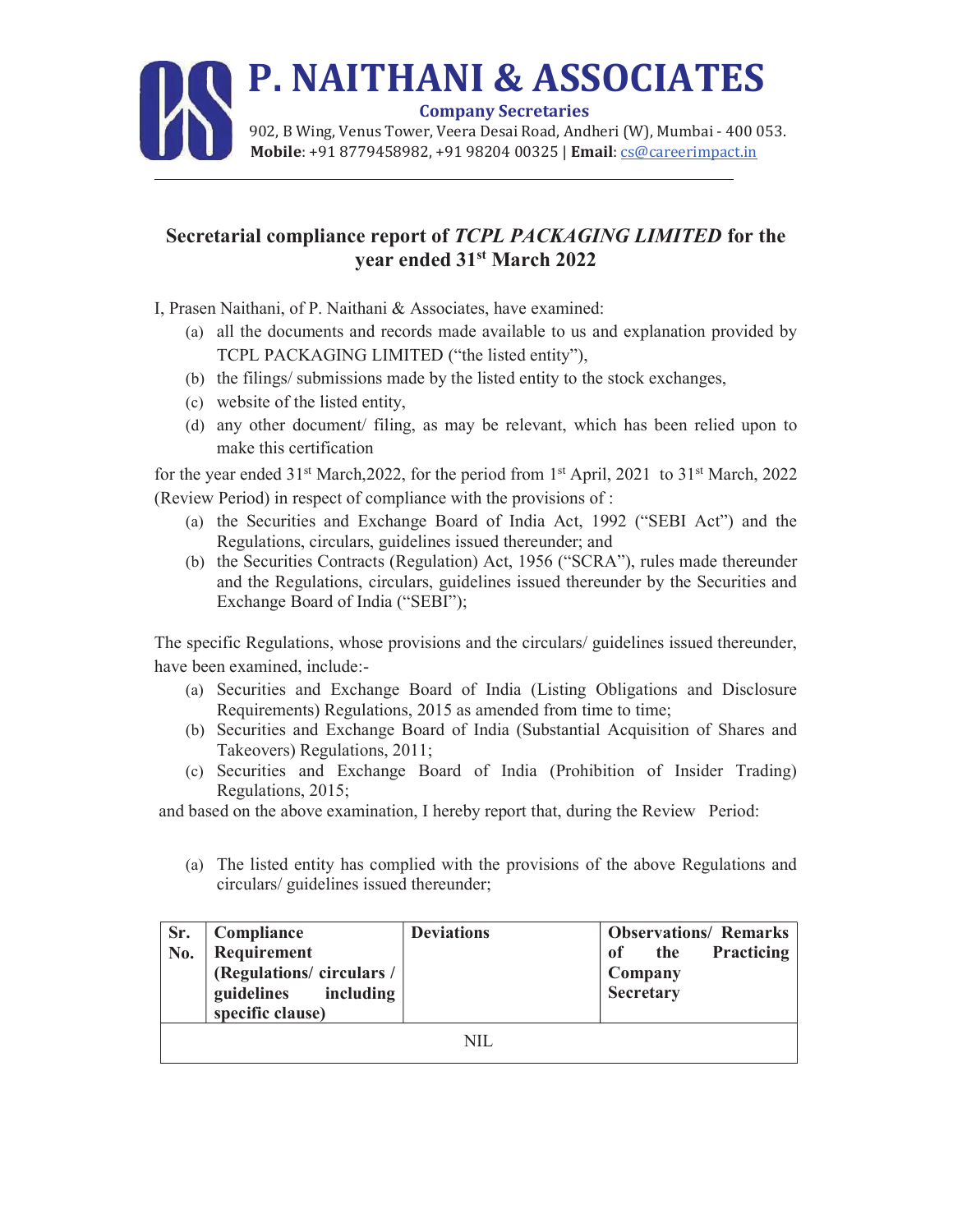

## Secretarial compliance report of TCPL PACKAGING LIMITED for the year ended 31st March 2022

I, Prasen Naithani, of P. Naithani & Associates, have examined:

- (a) all the documents and records made available to us and explanation provided by TCPL PACKAGING LIMITED ("the listed entity"),
- (b) the filings/ submissions made by the listed entity to the stock exchanges,
- (c) website of the listed entity,
- (d) any other document/ filing, as may be relevant, which has been relied upon to make this certification

for the year ended 31<sup>st</sup> March, 2022, for the period from 1<sup>st</sup> April, 2021 to 31<sup>st</sup> March, 2022 (Review Period) in respect of compliance with the provisions of :

- (a) the Securities and Exchange Board of India Act, 1992 ("SEBI Act") and the Regulations, circulars, guidelines issued thereunder; and
- (b) the Securities Contracts (Regulation) Act, 1956 ("SCRA"), rules made thereunder and the Regulations, circulars, guidelines issued thereunder by the Securities and Exchange Board of India ("SEBI");

The specific Regulations, whose provisions and the circulars/ guidelines issued thereunder, have been examined, include:-

- (a) Securities and Exchange Board of India (Listing Obligations and Disclosure Requirements) Regulations, 2015 as amended from time to time;
- (b) Securities and Exchange Board of India (Substantial Acquisition of Shares and Takeovers) Regulations, 2011;
- (c) Securities and Exchange Board of India (Prohibition of Insider Trading) Regulations, 2015;

and based on the above examination, I hereby report that, during the Review Period:

(a) The listed entity has complied with the provisions of the above Regulations and circulars/ guidelines issued thereunder;

| Sr. | Compliance              | <b>Deviations</b> | <b>Observations/ Remarks</b>   |
|-----|-------------------------|-------------------|--------------------------------|
| No. | Requirement             |                   | <b>Practicing</b><br>of<br>the |
|     | (Regulations/circulars/ |                   | <b>Company</b>                 |
|     | including<br>guidelines |                   | Secretary                      |
|     | specific clause)        |                   |                                |
|     |                         | NIL.              |                                |